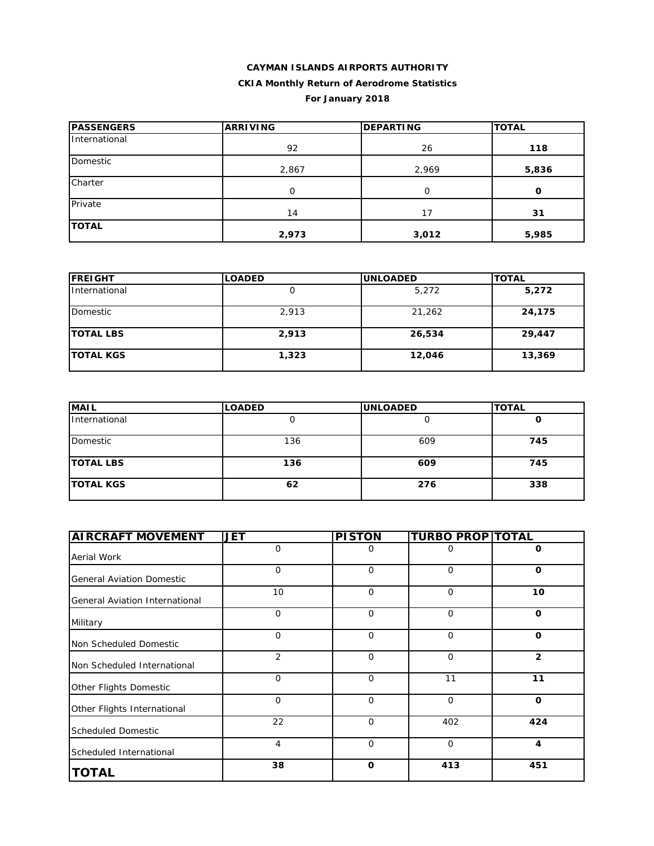| <b>PASSENGERS</b> | <b>ARRIVING</b> | <b>DEPARTING</b> | <b>TOTAL</b> |
|-------------------|-----------------|------------------|--------------|
| International     | 92              | 26               | 118          |
| Domestic          | 2,867           | 2,969            | 5,836        |
| Charter           | O               | 0                | O            |
| Private           | 14              | 17               | 31           |
| <b>TOTAL</b>      | 2,973           | 3,012            | 5,985        |

| <b>FREIGHT</b>   | <b>LOADED</b> | <b>UNLOADED</b> | <b>TOTAL</b> |
|------------------|---------------|-----------------|--------------|
| International    |               | 5,272           | 5,272        |
| Domestic         | 2,913         | 21,262          | 24,175       |
| <b>TOTAL LBS</b> | 2,913         | 26,534          | 29,447       |
| <b>TOTAL KGS</b> | 1,323         | 12,046          | 13,369       |

| <b>MAIL</b>      | <b>LOADED</b> | <b>UNLOADED</b> | <b>TOTAL</b> |
|------------------|---------------|-----------------|--------------|
| International    | U             |                 | u            |
| Domestic         | 136           | 609             | 745          |
| <b>TOTAL LBS</b> | 136           | 609             | 745          |
| <b>TOTAL KGS</b> | 62            | 276             | 338          |

| <b>AIRCRAFT MOVEMENT</b>         | <b>JET</b>     | <b>PISTON</b> | <b>TURBO PROP TOTAL</b> |                |
|----------------------------------|----------------|---------------|-------------------------|----------------|
| Aerial Work                      | $\Omega$       | 0             | 0                       | 0              |
| <b>General Aviation Domestic</b> | $\mathbf 0$    | $\mathbf 0$   | 0                       | 0              |
| General Aviation International   | 10             | $\Omega$      | $\Omega$                | 10             |
| Military                         | $\Omega$       | $\Omega$      | $\Omega$                | $\Omega$       |
| Non Scheduled Domestic           | $\mathbf 0$    | $\mathbf 0$   | $\mathbf 0$             | $\mathbf 0$    |
| Non Scheduled International      | $\overline{2}$ | $\Omega$      | $\Omega$                | $\overline{2}$ |
| Other Flights Domestic           | $\Omega$       | $\Omega$      | 11                      | 11             |
| Other Flights International      | $\mathbf 0$    | $\Omega$      | $\Omega$                | $\mathbf 0$    |
| <b>Scheduled Domestic</b>        | 22             | $\mathbf 0$   | 402                     | 424            |
| Scheduled International          | 4              | $\mathbf 0$   | $\mathbf 0$             | $\overline{4}$ |
| <b>TOTAL</b>                     | 38             | $\mathbf 0$   | 413                     | 451            |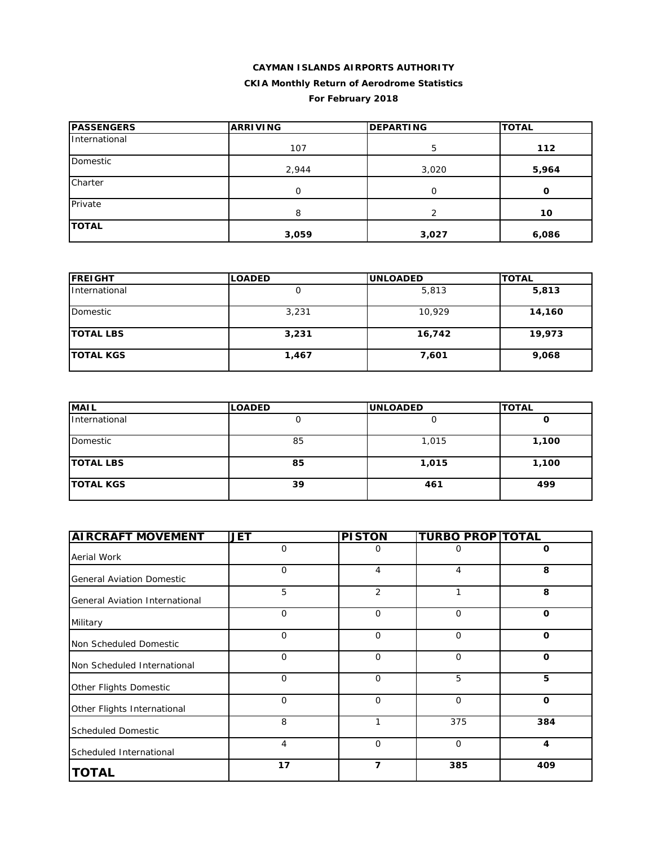| <b>PASSENGERS</b> | <b>ARRIVING</b> | <b>DEPARTING</b> | <b>TOTAL</b> |
|-------------------|-----------------|------------------|--------------|
| International     | 107             | 5                | 112          |
| Domestic          | 2,944           | 3,020            | 5,964        |
| Charter           | $\Omega$        | 0                | O            |
| Private           | 8               | າ                | 10           |
| <b>TOTAL</b>      | 3,059           | 3,027            | 6,086        |

| <b>FREIGHT</b>   | <b>LOADED</b> | <b>UNLOADED</b> | <b>TOTAL</b> |
|------------------|---------------|-----------------|--------------|
| International    |               | 5,813           | 5,813        |
| Domestic         | 3,231         | 10,929          | 14,160       |
| <b>TOTAL LBS</b> | 3,231         | 16,742          | 19,973       |
| <b>TOTAL KGS</b> | 1,467         | 7,601           | 9,068        |

| <b>MAIL</b>      | <b>LOADED</b> | <b>UNLOADED</b> | <b>TOTAL</b> |
|------------------|---------------|-----------------|--------------|
| International    | u             |                 | u            |
| Domestic         | 85            | 1,015           | 1,100        |
| <b>TOTAL LBS</b> | 85            | 1,015           | 1,100        |
| <b>TOTAL KGS</b> | 39            | 461             | 499          |

| <b>AIRCRAFT MOVEMENT</b>         | <b>JET</b>     | <b>PISTON</b> | <b>TURBO PROP TOTAL</b> |             |
|----------------------------------|----------------|---------------|-------------------------|-------------|
| Aerial Work                      | $\mathbf{O}$   | 0             | 0                       | 0           |
| <b>General Aviation Domestic</b> | $\overline{O}$ | 4             | 4                       | 8           |
| General Aviation International   | 5              | 2             | 1                       | 8           |
| Military                         | $\Omega$       | $\mathbf 0$   | $\mathbf 0$             | $\Omega$    |
| Non Scheduled Domestic           | $\mathbf 0$    | $\mathbf 0$   | $\mathbf 0$             | $\mathbf 0$ |
| Non Scheduled International      | 0              | $\mathbf 0$   | $\mathbf 0$             | $\mathbf 0$ |
| Other Flights Domestic           | $\mathbf{O}$   | $\mathbf 0$   | 5                       | 5           |
| Other Flights International      | $\overline{O}$ | $\mathbf 0$   | $\mathbf 0$             | $\mathbf 0$ |
| <b>Scheduled Domestic</b>        | 8              | 1             | 375                     | 384         |
| Scheduled International          | 4              | $\mathbf 0$   | $\mathbf 0$             | 4           |
| <b>TOTAL</b>                     | 17             | 7             | 385                     | 409         |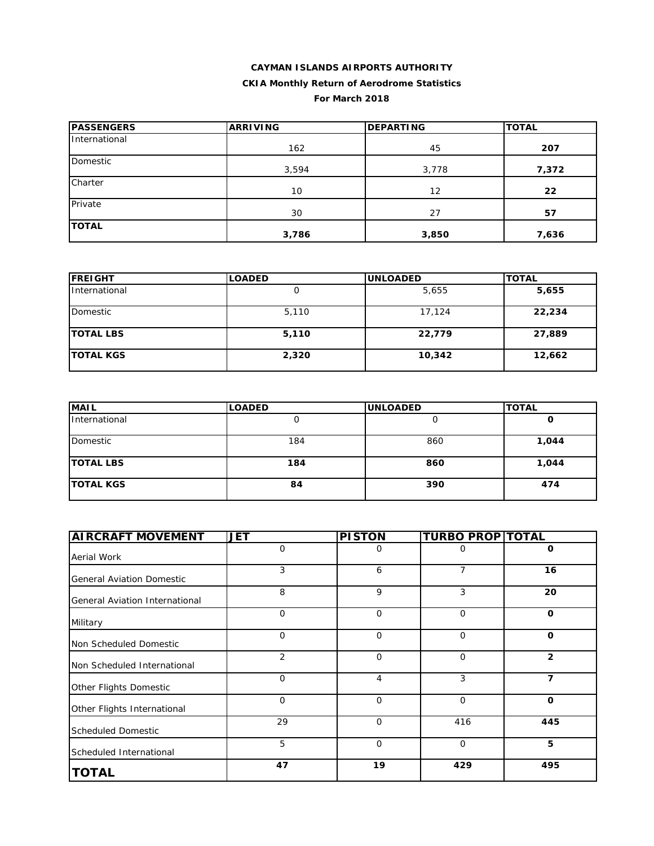# **CAYMAN ISLANDS AIRPORTS AUTHORITY**

# **CKIA Monthly Return of Aerodrome Statistics**

### **For March 2018**

| <b>PASSENGERS</b> | <b>ARRIVING</b> | <b>DEPARTING</b> | <b>TOTAL</b> |  |
|-------------------|-----------------|------------------|--------------|--|
| International     | 162             | 45               | 207          |  |
| Domestic          | 3,594           | 3,778            | 7,372        |  |
| Charter           | 10              | 12               | 22           |  |
| Private           | 30              | 27               | 57           |  |
| <b>TOTAL</b>      | 3,786           | 3,850            | 7,636        |  |

| <b>FREIGHT</b>   | <b>LOADED</b> | <b>UNLOADED</b> | <b>TOTAL</b> |
|------------------|---------------|-----------------|--------------|
| International    |               | 5,655           | 5,655        |
| Domestic         | 5,110         | 17,124          | 22,234       |
| <b>TOTAL LBS</b> | 5,110         | 22,779          | 27,889       |
| <b>TOTAL KGS</b> | 2,320         | 10,342          | 12,662       |

| <b>MAIL</b>      | <b>LOADED</b> | <b>UNLOADED</b> | <b>TOTAL</b> |
|------------------|---------------|-----------------|--------------|
| International    |               |                 | U            |
| Domestic         | 184           | 860             | 1,044        |
| <b>TOTAL LBS</b> | 184           | 860             | 1,044        |
| <b>TOTAL KGS</b> | 84            | 390             | 474          |

| <b>AIRCRAFT MOVEMENT</b>         | JET         | <b>PISTON</b>  | <b>TURBO PROP TOTAL</b> |                |
|----------------------------------|-------------|----------------|-------------------------|----------------|
| Aerial Work                      | 0           | 0              | 0                       | $\mathbf 0$    |
| <b>General Aviation Domestic</b> | 3           | 6              | 7                       | 16             |
| General Aviation International   | 8           | 9              | 3                       | 20             |
| Military                         | $\mathbf 0$ | $\mathbf 0$    | $\mathbf 0$             | $\mathbf{o}$   |
| Non Scheduled Domestic           | $\mathbf 0$ | $\mathbf 0$    | $\mathbf 0$             | $\mathbf 0$    |
| Non Scheduled International      | 2           | $\mathbf 0$    | $\mathbf 0$             | $\overline{2}$ |
| Other Flights Domestic           | $\mathbf 0$ | $\overline{4}$ | 3                       | 7              |
| Other Flights International      | $\mathbf 0$ | $\mathbf 0$    | $\mathbf 0$             | $\mathbf{o}$   |
| <b>Scheduled Domestic</b>        | 29          | $\Omega$       | 416                     | 445            |
| Scheduled International          | 5           | $\mathbf 0$    | 0                       | 5              |
| <b>TOTAL</b>                     | 47          | 19             | 429                     | 495            |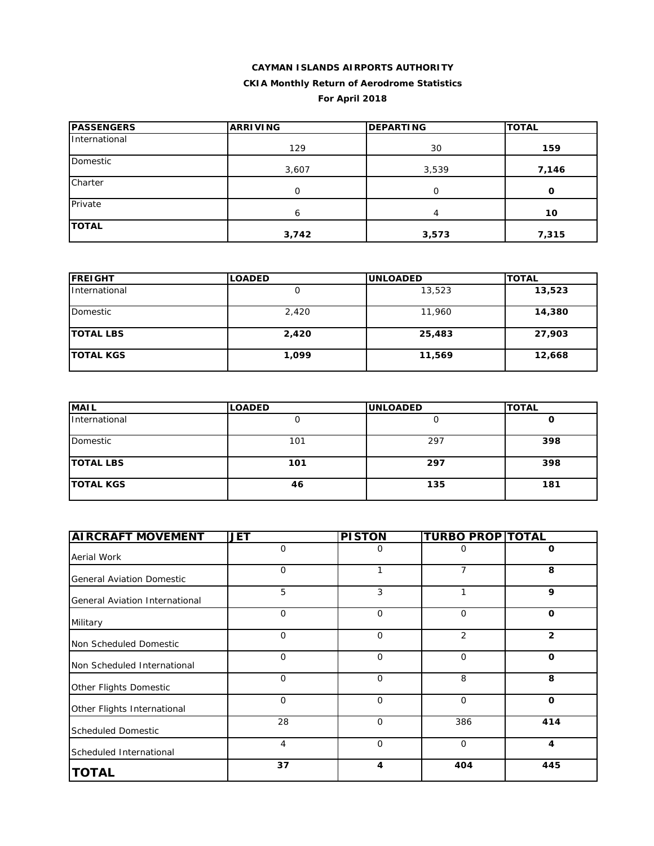#### **For April 2018**

| <b>PASSENGERS</b> | <b>ARRIVING</b> | <b>DEPARTING</b> | <b>TOTAL</b> |  |
|-------------------|-----------------|------------------|--------------|--|
| International     | 129             | 30               | 159          |  |
| <b>Domestic</b>   | 3,607           | 3,539            | 7,146        |  |
| Charter           | 0               | O                | O            |  |
| Private           | 6               | 4                | 10           |  |
| <b>TOTAL</b>      | 3,742           | 3,573            | 7,315        |  |

| <b>FREIGHT</b>   | <b>LOADED</b> | <b>UNLOADED</b> | <b>TOTAL</b> |
|------------------|---------------|-----------------|--------------|
| International    | U             | 13,523          | 13,523       |
| Domestic         | 2,420         | 11,960          | 14,380       |
| <b>TOTAL LBS</b> | 2,420         | 25,483          | 27,903       |
| <b>TOTAL KGS</b> | 1,099         | 11,569          | 12,668       |

| <b>MAIL</b>      | <b>LOADED</b> | <b>UNLOADED</b> | <b>TOTAL</b> |
|------------------|---------------|-----------------|--------------|
| International    |               |                 | u            |
| Domestic         | 101           | 297             | 398          |
| <b>TOTAL LBS</b> | 101           | 297             | 398          |
| <b>TOTAL KGS</b> | 46            | 135             | 181          |

| <b>AIRCRAFT MOVEMENT</b>         | <b>JET</b>  | <b>PISTON</b> | <b>TURBO PROP TOTAL</b> |                |
|----------------------------------|-------------|---------------|-------------------------|----------------|
| Aerial Work                      | $\mathbf 0$ | O             | 0                       | 0              |
| <b>General Aviation Domestic</b> | $\mathbf 0$ | 1             | 7                       | 8              |
| General Aviation International   | 5           | 3             | 1                       | 9              |
| Military                         | $\mathbf 0$ | $\mathbf 0$   | $\mathbf 0$             | $\mathbf 0$    |
| Non Scheduled Domestic           | $\mathbf 0$ | $\mathbf 0$   | 2                       | $\overline{2}$ |
| Non Scheduled International      | $\mathbf 0$ | $\mathbf 0$   | $\mathbf 0$             | O              |
| Other Flights Domestic           | $\mathbf 0$ | $\mathbf 0$   | 8                       | 8              |
| Other Flights International      | $\mathbf 0$ | $\mathbf 0$   | $\mathbf 0$             | O              |
| <b>Scheduled Domestic</b>        | 28          | $\Omega$      | 386                     | 414            |
| Scheduled International          | 4           | $\mathbf 0$   | $\mathbf 0$             | 4              |
| <b>TOTAL</b>                     | 37          | 4             | 404                     | 445            |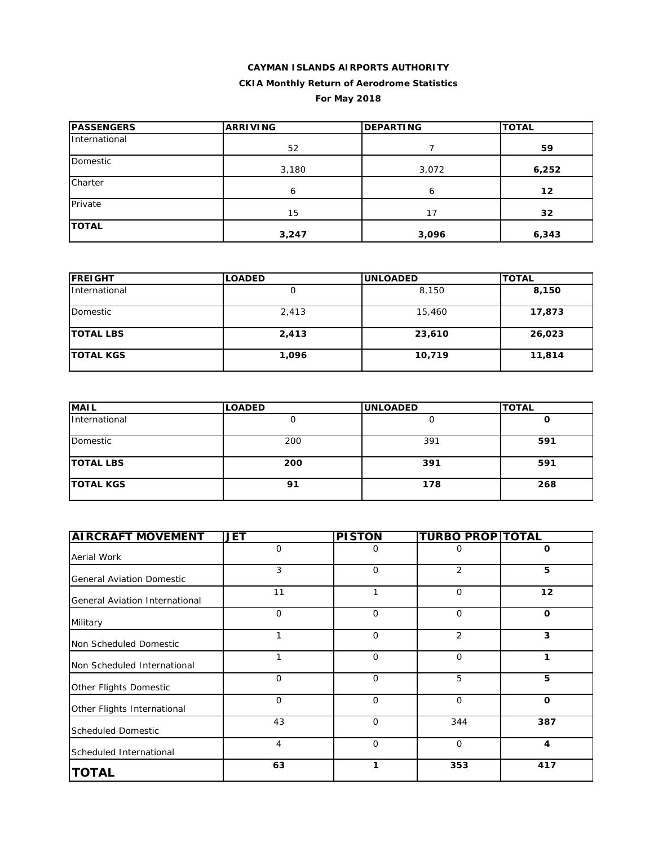| <b>PASSENGERS</b> | <b>ARRIVING</b> | <b>DEPARTING</b> | <b>TOTAL</b> |  |
|-------------------|-----------------|------------------|--------------|--|
| International     | 52              |                  | 59           |  |
| Domestic          | 3,180           | 3,072            | 6,252        |  |
| Charter           | 6               | 6                | 12           |  |
| Private           | 15              | 17               | 32           |  |
| <b>TOTAL</b>      | 3,247           | 3,096            | 6,343        |  |

| <b>IFREIGHT</b>  | <b>LOADED</b> | <b>UNLOADED</b> | <b>TOTAL</b> |
|------------------|---------------|-----------------|--------------|
| International    |               | 8,150           | 8,150        |
| Domestic         | 2,413         | 15,460          | 17,873       |
| <b>TOTAL LBS</b> | 2,413         | 23,610          | 26,023       |
| <b>TOTAL KGS</b> | 1,096         | 10,719          | 11,814       |

| <b>MAIL</b>      | <b>LOADED</b> | <b>UNLOADED</b> | <b>TOTAL</b> |
|------------------|---------------|-----------------|--------------|
| International    |               |                 |              |
| Domestic         | 200           | 391             | 591          |
| <b>TOTAL LBS</b> | 200           | 391             | 591          |
| <b>TOTAL KGS</b> | 91            | 178             | 268          |

| <b>AIRCRAFT MOVEMENT</b>         | <b>JET</b> | <b>PISTON</b> | <b>TURBO PROP TOTAL</b> |             |
|----------------------------------|------------|---------------|-------------------------|-------------|
| Aerial Work                      | 0          | 0             | O                       | 0           |
| <b>General Aviation Domestic</b> | 3          | $\mathbf 0$   | 2                       | 5           |
| General Aviation International   | 11         | 1             | 0                       | 12          |
| Military                         | $\Omega$   | $\Omega$      | 0                       | $\Omega$    |
| Non Scheduled Domestic           |            | 0             | 2                       | 3           |
| Non Scheduled International      |            | 0             | 0                       | 1           |
| Other Flights Domestic           | $\Omega$   | $\Omega$      | 5                       | 5           |
| Other Flights International      | $\Omega$   | 0             | $\overline{O}$          | $\mathbf 0$ |
| <b>Scheduled Domestic</b>        | 43         | $\mathbf 0$   | 344                     | 387         |
| Scheduled International          | 4          | 0             | $\mathbf 0$             | 4           |
| <b>TOTAL</b>                     | 63         | 1             | 353                     | 417         |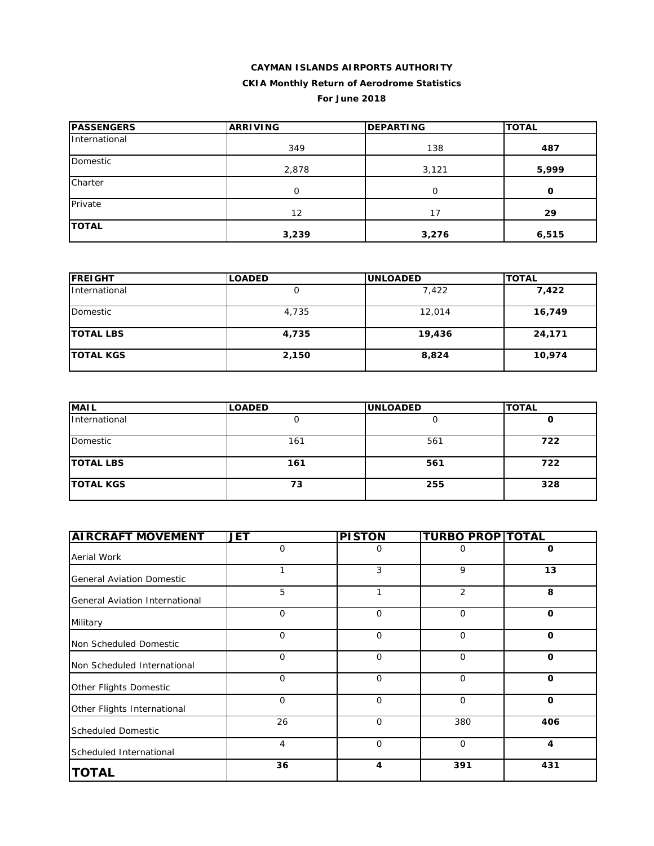# **CAYMAN ISLANDS AIRPORTS AUTHORITY**

# **CKIA Monthly Return of Aerodrome Statistics**

#### **For June 2018**

| <b>PASSENGERS</b> | <b>ARRIVING</b> | <b>DEPARTING</b> | <b>TOTAL</b> |  |
|-------------------|-----------------|------------------|--------------|--|
| International     | 349             | 138              | 487          |  |
| Domestic          | 2,878           | 3,121            | 5,999        |  |
| Charter           | $\Omega$        | $\Omega$         | O            |  |
| Private           | 12              | 17               | 29           |  |
| <b>TOTAL</b>      | 3,239           | 3,276            | 6,515        |  |

| <b>FREIGHT</b>   | <b>LOADED</b> | <b>UNLOADED</b> | <b>TOTAL</b> |  |
|------------------|---------------|-----------------|--------------|--|
| International    | Ő             | 7,422           | 7,422        |  |
| Domestic         | 4,735         | 12,014          | 16,749       |  |
| <b>TOTAL LBS</b> | 4,735         | 19,436          | 24,171       |  |
| <b>TOTAL KGS</b> | 2,150         | 8,824           | 10,974       |  |

| <b>MAIL</b>      | <b>LOADED</b> | <b>UNLOADED</b> | <b>TOTAL</b> |
|------------------|---------------|-----------------|--------------|
| International    |               |                 | u            |
| Domestic         | 161           | 561             | 722          |
| <b>TOTAL LBS</b> | 161           | 561             | 722          |
| <b>TOTAL KGS</b> | 73            | 255             | 328          |

| <b>AIRCRAFT MOVEMENT</b>         | JET         | <b>PISTON</b>           | <b>TURBO PROP TOTAL</b> |              |
|----------------------------------|-------------|-------------------------|-------------------------|--------------|
| Aerial Work                      | $\mathbf 0$ | 0                       | 0                       | $\mathbf 0$  |
| <b>General Aviation Domestic</b> | 1           | 3                       | 9                       | 13           |
| General Aviation International   | 5           | 1                       | $\overline{2}$          | 8            |
| Military                         | $\mathbf 0$ | $\mathbf 0$             | $\mathbf 0$             | $\mathbf 0$  |
| Non Scheduled Domestic           | $\mathbf 0$ | $\mathbf 0$             | $\mathbf 0$             | $\mathbf 0$  |
| Non Scheduled International      | $\mathbf 0$ | $\mathbf 0$             | $\mathbf 0$             | $\mathbf{o}$ |
| Other Flights Domestic           | $\mathbf 0$ | $\mathbf 0$             | $\mathbf 0$             | $\mathbf{o}$ |
| Other Flights International      | $\mathbf 0$ | $\mathbf 0$             | $\mathbf 0$             | $\mathbf{o}$ |
| <b>Scheduled Domestic</b>        | 26          | $\Omega$                | 380                     | 406          |
| Scheduled International          | 4           | $\mathbf 0$             | 0                       | 4            |
| <b>TOTAL</b>                     | 36          | $\overline{\mathbf{4}}$ | 391                     | 431          |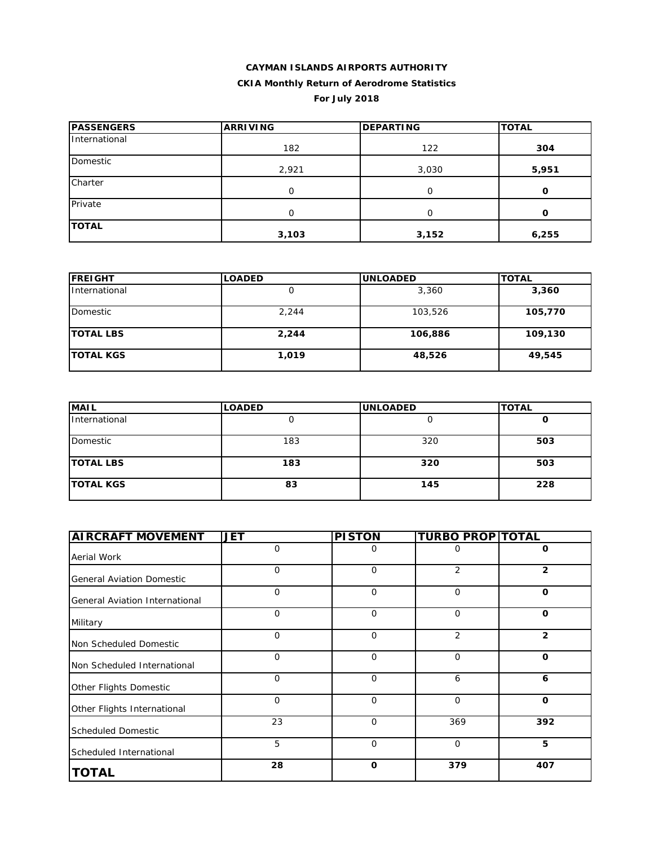#### **For July 2018**

| <b>PASSENGERS</b> | <b>ARRIVING</b> | <b>DEPARTING</b> | <b>TOTAL</b> |
|-------------------|-----------------|------------------|--------------|
| International     | 182             | 122              | 304          |
| Domestic          | 2,921           | 3,030            | 5,951        |
| Charter           | ∩               | O                | O            |
| Private           | ∩               | O                | O            |
| <b>TOTAL</b>      | 3,103           | 3,152            | 6,255        |

| <b>IFREIGHT</b>  | <b>LOADED</b> | <b>UNLOADED</b> | <b>TOTAL</b> |
|------------------|---------------|-----------------|--------------|
| International    |               | 3,360           | 3,360        |
| Domestic         | 2,244         | 103,526         | 105,770      |
| <b>TOTAL LBS</b> | 2,244         | 106,886         | 109,130      |
| <b>TOTAL KGS</b> | 1,019         | 48,526          | 49,545       |

| <b>MAIL</b>      | <b>LOADED</b> | <b>UNLOADED</b> | <b>TOTAL</b> |
|------------------|---------------|-----------------|--------------|
| International    |               |                 | u            |
| Domestic         | 183           | 320             | 503          |
| <b>TOTAL LBS</b> | 183           | 320             | 503          |
| <b>TOTAL KGS</b> | 83            | 145             | 228          |

| <b>AIRCRAFT MOVEMENT</b>         | <b>JET</b>   | <b>PISTON</b> | <b>TURBO PROP TOTAL</b> |                |
|----------------------------------|--------------|---------------|-------------------------|----------------|
| Aerial Work                      | $\Omega$     | 0             | Ω                       | 0              |
| <b>General Aviation Domestic</b> | $\mathbf{O}$ | $\mathbf 0$   | 2                       | $\overline{2}$ |
| General Aviation International   | $\Omega$     | 0             | 0                       | $\mathbf 0$    |
| Military                         | $\Omega$     | $\Omega$      | $\mathbf 0$             | $\mathbf 0$    |
| Non Scheduled Domestic           | $\mathbf{O}$ | 0             | 2                       | $\overline{2}$ |
| Non Scheduled International      | $\mathbf 0$  | $\mathbf 0$   | $\mathbf 0$             | O              |
| Other Flights Domestic           | $\Omega$     | $\Omega$      | 6                       | 6              |
| Other Flights International      | $\Omega$     | 0             | 0                       | $\mathbf 0$    |
| <b>Scheduled Domestic</b>        | 23           | $\mathbf 0$   | 369                     | 392            |
| Scheduled International          | 5            | 0             | $\mathbf 0$             | 5              |
| <b>TOTAL</b>                     | 28           | $\mathbf 0$   | 379                     | 407            |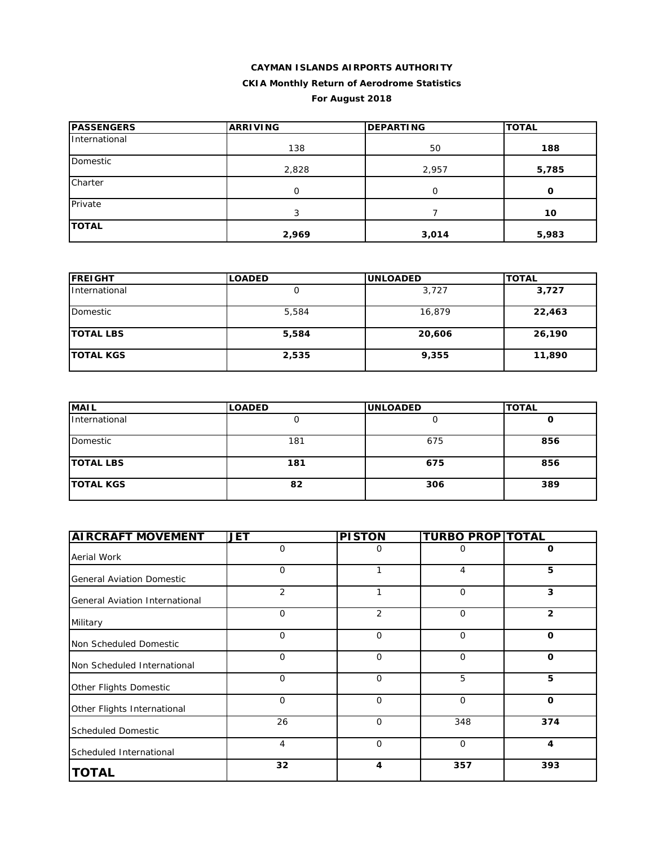#### **For August 2018**

| <b>PASSENGERS</b> | <b>ARRIVING</b> | <b>DEPARTING</b> | <b>TOTAL</b> |
|-------------------|-----------------|------------------|--------------|
| International     | 138             | 50               | 188          |
| Domestic          | 2,828           | 2,957            | 5,785        |
| Charter           | $\Omega$        | $\Omega$         | O            |
| Private           | 3               |                  | 10           |
| <b>TOTAL</b>      | 2,969           | 3,014            | 5,983        |

| <b>FREIGHT</b>   | <b>LOADED</b> | <b>UNLOADED</b> | <b>TOTAL</b> |  |
|------------------|---------------|-----------------|--------------|--|
| International    |               | 3,727           | 3,727        |  |
| Domestic         | 5,584         | 16,879          | 22,463       |  |
| <b>TOTAL LBS</b> | 5,584         | 20,606          | 26,190       |  |
| <b>TOTAL KGS</b> | 2,535         | 9,355           | 11,890       |  |

| <b>MAIL</b>      | <b>LOADED</b> | <b>UNLOADED</b> | <b>TOTAL</b> |
|------------------|---------------|-----------------|--------------|
| International    |               |                 | u            |
| Domestic         | 181           | 675             | 856          |
| <b>TOTAL LBS</b> | 181           | 675             | 856          |
| <b>TOTAL KGS</b> | 82            | 306             | 389          |

| <b>AIRCRAFT MOVEMENT</b>         | <b>JET</b>  | <b>PISTON</b>  | <b>TURBO PROP TOTAL</b> |                |
|----------------------------------|-------------|----------------|-------------------------|----------------|
| Aerial Work                      | $\mathbf 0$ | 0              | 0                       | 0              |
| <b>General Aviation Domestic</b> | $\mathbf 0$ |                | 4                       | 5              |
| General Aviation International   | 2           | 1              | $\mathbf 0$             | 3              |
| Military                         | $\mathbf 0$ | $\overline{2}$ | $\mathbf 0$             | $\overline{2}$ |
| Non Scheduled Domestic           | $\mathbf 0$ | $\mathbf 0$    | $\mathbf 0$             | O              |
| Non Scheduled International      | $\mathbf 0$ | $\mathbf 0$    | $\mathbf 0$             | $\mathbf 0$    |
| Other Flights Domestic           | $\mathbf 0$ | $\mathbf 0$    | 5                       | 5              |
| Other Flights International      | $\mathbf 0$ | $\mathbf 0$    | $\mathbf 0$             | $\mathbf 0$    |
| <b>Scheduled Domestic</b>        | 26          | $\Omega$       | 348                     | 374            |
| Scheduled International          | 4           | $\mathbf 0$    | $\mathbf 0$             | 4              |
| <b>TOTAL</b>                     | 32          | 4              | 357                     | 393            |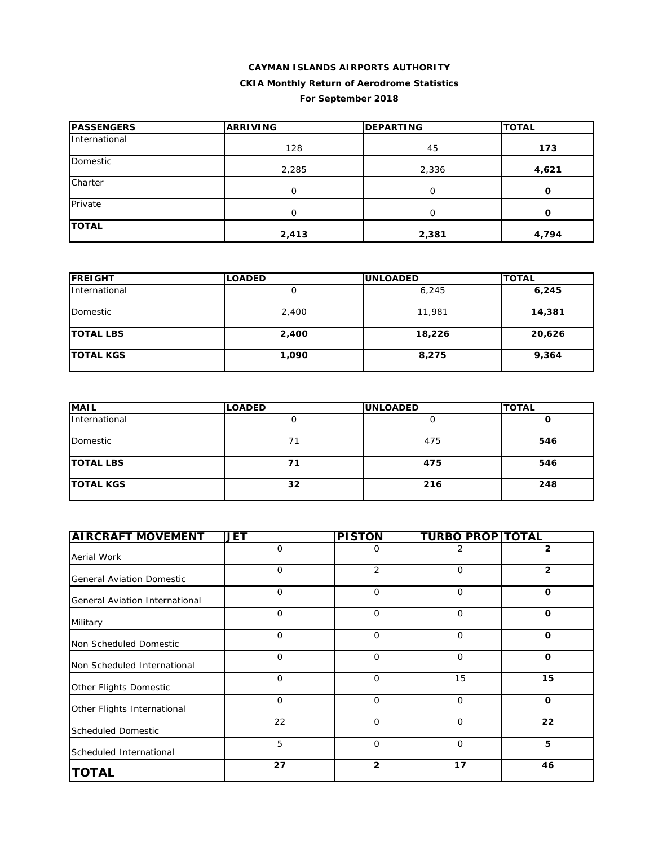| <b>PASSENGERS</b> | <b>ARRIVING</b> | <b>DEPARTING</b> | <b>TOTAL</b> |
|-------------------|-----------------|------------------|--------------|
| International     | 128             | 45               | 173          |
| Domestic          | 2,285           | 2,336            | 4,621        |
| Charter           | 0               | $\Omega$         | $\mathbf{o}$ |
| Private           | 0               | $\Omega$         | 0            |
| <b>TOTAL</b>      | 2,413           | 2,381            | 4,794        |

| <b>IFREIGHT</b>  | <b>LOADED</b> | <b>UNLOADED</b> | <b>TOTAL</b> |
|------------------|---------------|-----------------|--------------|
| International    |               | 6,245           | 6,245        |
| Domestic         | 2,400         | 11,981          | 14,381       |
| <b>TOTAL LBS</b> | 2,400         | 18,226          | 20,626       |
| <b>TOTAL KGS</b> | 1,090         | 8,275           | 9,364        |

| <b>MAIL</b>      | <b>LOADED</b> | <b>UNLOADED</b> | <b>TOTAL</b> |
|------------------|---------------|-----------------|--------------|
| International    |               |                 | U            |
| Domestic         | 71            | 475             | 546          |
| <b>TOTAL LBS</b> | 71            | 475             | 546          |
| <b>TOTAL KGS</b> | 32            | 216             | 248          |

| <b>AIRCRAFT MOVEMENT</b>         | <b>JET</b>  | <b>PISTON</b>  | <b>TURBO PROP TOTAL</b> |                |
|----------------------------------|-------------|----------------|-------------------------|----------------|
| Aerial Work                      | $\mathbf 0$ | 0              | 2                       | $\overline{2}$ |
| <b>General Aviation Domestic</b> | 0           | 2              | $\mathbf{O}$            | $\mathbf{2}$   |
| General Aviation International   | $\mathbf 0$ | $\mathbf 0$    | $\mathbf 0$             | $\mathbf 0$    |
| Military                         | $\mathbf 0$ | $\mathbf 0$    | $\mathbf 0$             | $\mathbf 0$    |
| Non Scheduled Domestic           | $\mathbf 0$ | $\mathbf 0$    | $\mathbf 0$             | $\mathbf 0$    |
| Non Scheduled International      | 0           | $\mathbf 0$    | $\mathbf{O}$            | $\mathbf 0$    |
| Other Flights Domestic           | $\mathbf 0$ | $\mathbf 0$    | 15                      | 15             |
| Other Flights International      | $\mathbf 0$ | $\mathbf 0$    | $\mathbf{O}$            | $\mathbf 0$    |
| <b>Scheduled Domestic</b>        | 22          | $\Omega$       | $\mathbf 0$             | 22             |
| Scheduled International          | 5           | $\mathbf 0$    | $\mathbf 0$             | 5              |
| <b>TOTAL</b>                     | 27          | $\overline{2}$ | 17                      | 46             |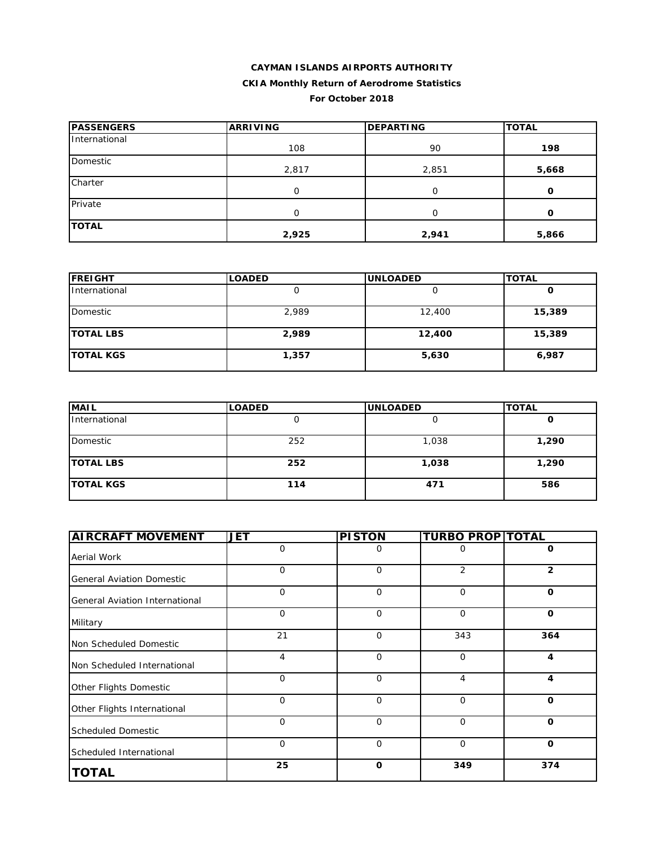#### **For October 2018**

| <b>IPASSENGERS</b> | <b>ARRIVING</b> | <b>DEPARTING</b> | <b>TOTAL</b> |
|--------------------|-----------------|------------------|--------------|
| International      | 108             | 90               | 198          |
| Domestic           | 2,817           | 2,851            | 5,668        |
| Charter            | $\Omega$        | 0                | O            |
| Private            | $\Omega$        | O                | O            |
| <b>TOTAL</b>       | 2,925           | 2,941            | 5,866        |

| <b>FREIGHT</b>   | <b>LOADED</b> | <b>UNLOADED</b> | <b>TOTAL</b> |
|------------------|---------------|-----------------|--------------|
| International    |               |                 | O            |
| Domestic         | 2,989         | 12,400          | 15,389       |
| <b>TOTAL LBS</b> | 2,989         | 12,400          | 15,389       |
| <b>TOTAL KGS</b> | 1,357         | 5,630           | 6,987        |

| <b>MAIL</b>      | <b>LOADED</b> | <b>UNLOADED</b> | <b>TOTAL</b> |
|------------------|---------------|-----------------|--------------|
| International    |               |                 | U            |
| Domestic         | 252           | 1,038           | 1,290        |
| <b>TOTAL LBS</b> | 252           | 1,038           | 1,290        |
| <b>TOTAL KGS</b> | 114           | 471             | 586          |

| <b>AIRCRAFT MOVEMENT</b>         | JET         | <b>PISTON</b> | <b>TURBO PROP TOTAL</b> |              |
|----------------------------------|-------------|---------------|-------------------------|--------------|
| Aerial Work                      | 0           | 0             | 0                       | $\mathbf 0$  |
| <b>General Aviation Domestic</b> | $\mathbf 0$ | $\mathbf 0$   | $\overline{2}$          | $\mathbf{2}$ |
| General Aviation International   | $\mathbf 0$ | $\mathbf 0$   | $\mathbf 0$             | $\mathbf 0$  |
| Military                         | $\mathbf 0$ | $\mathbf 0$   | $\mathbf 0$             | $\mathbf{o}$ |
| Non Scheduled Domestic           | 21          | $\mathbf 0$   | 343                     | 364          |
| Non Scheduled International      | 4           | $\mathbf 0$   | $\mathbf 0$             | 4            |
| Other Flights Domestic           | $\mathbf 0$ | $\mathbf 0$   | 4                       | 4            |
| Other Flights International      | $\mathbf 0$ | $\mathbf 0$   | $\mathbf 0$             | $\mathbf 0$  |
| <b>Scheduled Domestic</b>        | $\mathbf 0$ | $\Omega$      | $\mathbf 0$             | $\mathbf{o}$ |
| Scheduled International          | $\mathbf 0$ | $\mathbf 0$   | 0                       | $\mathbf 0$  |
| <b>TOTAL</b>                     | 25          | $\Omega$      | 349                     | 374          |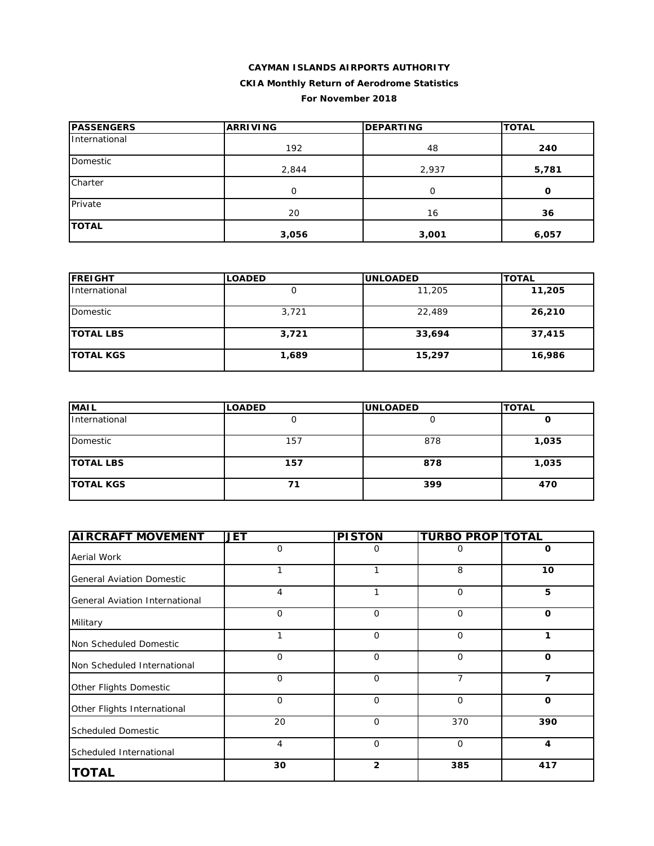#### **PASSENGERS ARRIVING DEPARTING TOTAL** International 192 48 Private 20 16 **36 240** Domestic 2,844 2,937 **5,781 Charter** 0 0 **0 TOTAL 3,056 3,001 6,057**

| <b>FREIGHT</b>   | <b>LOADED</b> | <b>UNLOADED</b> | <b>TOTAL</b> |
|------------------|---------------|-----------------|--------------|
| International    | Ő             | 11,205          | 11,205       |
| Domestic         | 3,721         | 22,489          | 26,210       |
| <b>TOTAL LBS</b> | 3,721         | 33,694          | 37,415       |
| <b>TOTAL KGS</b> | 1,689         | 15,297          | 16,986       |

| <b>MAIL</b>      | <b>LOADED</b> | <b>UNLOADED</b> | <b>TOTAL</b> |
|------------------|---------------|-----------------|--------------|
| International    |               |                 | u            |
| Domestic         | 157           | 878             | 1,035        |
| <b>TOTAL LBS</b> | 157           | 878             | 1,035        |
| <b>TOTAL KGS</b> | 71            | 399             | 470          |

| <b>AIRCRAFT MOVEMENT</b>         | <b>JET</b>  | <b>PISTON</b>  | <b>TURBO PROP TOTAL</b> |             |
|----------------------------------|-------------|----------------|-------------------------|-------------|
| Aerial Work                      | $\mathbf 0$ | 0              | 0                       | $\mathbf 0$ |
| <b>General Aviation Domestic</b> | 1           |                | 8                       | 10          |
| General Aviation International   | 4           | 1              | $\mathbf 0$             | 5           |
| Military                         | $\mathbf 0$ | $\mathbf{O}$   | $\mathbf 0$             | $\mathbf 0$ |
| Non Scheduled Domestic           | 1           | $\mathbf 0$    | $\mathbf 0$             | 1           |
| Non Scheduled International      | 0           | $\mathbf 0$    | $\mathbf 0$             | $\mathbf 0$ |
| Other Flights Domestic           | $\mathbf 0$ | $\mathbf 0$    | 7                       | 7           |
| Other Flights International      | $\mathbf 0$ | $\mathbf 0$    | $\mathbf 0$             | $\mathbf 0$ |
| <b>Scheduled Domestic</b>        | 20          | $\mathbf 0$    | 370                     | 390         |
| Scheduled International          | 4           | $\mathbf{O}$   | $\mathbf 0$             | 4           |
| <b>TOTAL</b>                     | 30          | $\overline{2}$ | 385                     | 417         |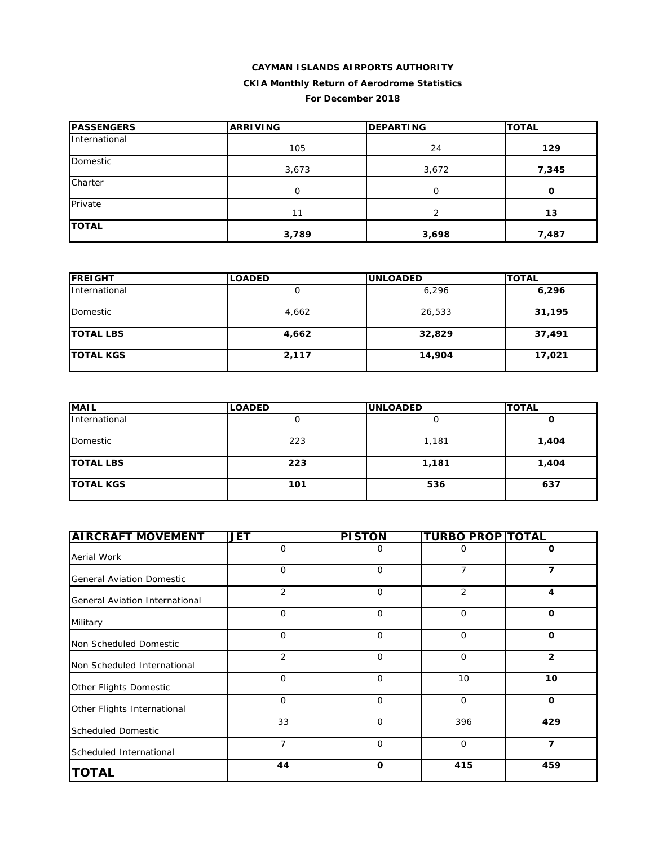## **CAYMAN ISLANDS AIRPORTS AUTHORITY**

## **CKIA Monthly Return of Aerodrome Statistics**

#### **For December 2018**

| <b>PASSENGERS</b> | <b>ARRIVING</b> | <b>DEPARTING</b> | <b>TOTAL</b> |
|-------------------|-----------------|------------------|--------------|
| International     | 105             | 24               | 129          |
| Domestic          | 3,673           | 3,672            | 7,345        |
| Charter           | O               | O                | 0            |
| Private           | 11              | っ                | 13           |
| <b>TOTAL</b>      | 3,789           | 3,698            | 7,487        |

| <b>FREIGHT</b>   | <b>LOADED</b> | <b>UNLOADED</b> | <b>TOTAL</b> |
|------------------|---------------|-----------------|--------------|
| International    | Ü             | 6,296           | 6,296        |
| Domestic         | 4,662         | 26,533          | 31,195       |
| <b>TOTAL LBS</b> | 4,662         | 32,829          | 37,491       |
| <b>TOTAL KGS</b> | 2,117         | 14,904          | 17,021       |

| <b>MAIL</b>      | <b>LOADED</b> | <b>UNLOADED</b> | <b>TOTAL</b> |
|------------------|---------------|-----------------|--------------|
| International    |               |                 | u            |
| Domestic         | 223           | 1,181           | 1,404        |
| <b>TOTAL LBS</b> | 223           | 1,181           | 1,404        |
| <b>TOTAL KGS</b> | 101           | 536             | 637          |

| <b>AIRCRAFT MOVEMENT</b>         | <b>JET</b>     | <b>PISTON</b> | <b>TURBO PROP TOTAL</b> |                |
|----------------------------------|----------------|---------------|-------------------------|----------------|
| <b>Aerial Work</b>               | $\mathbf 0$    | O             | 0                       | O              |
| <b>General Aviation Domestic</b> | $\mathbf 0$    | $\mathbf 0$   | $\overline{7}$          | 7              |
| General Aviation International   | $\overline{2}$ | $\mathbf{O}$  | 2                       | 4              |
| Military                         | $\mathbf 0$    | $\Omega$      | $\Omega$                | $\Omega$       |
| Non Scheduled Domestic           | $\mathbf 0$    | 0             | $\mathbf 0$             | O              |
| Non Scheduled International      | 2              | $\mathbf{O}$  | $\mathbf 0$             | $\overline{2}$ |
| Other Flights Domestic           | $\Omega$       | $\Omega$      | 10                      | 10             |
| Other Flights International      | $\Omega$       | $\Omega$      | $\mathbf 0$             | $\mathbf 0$    |
| <b>Scheduled Domestic</b>        | 33             | $\mathbf 0$   | 396                     | 429            |
| Scheduled International          | 7              | $\mathbf 0$   | $\mathbf 0$             | 7              |
| <b>TOTAL</b>                     | 44             | $\mathbf{o}$  | 415                     | 459            |